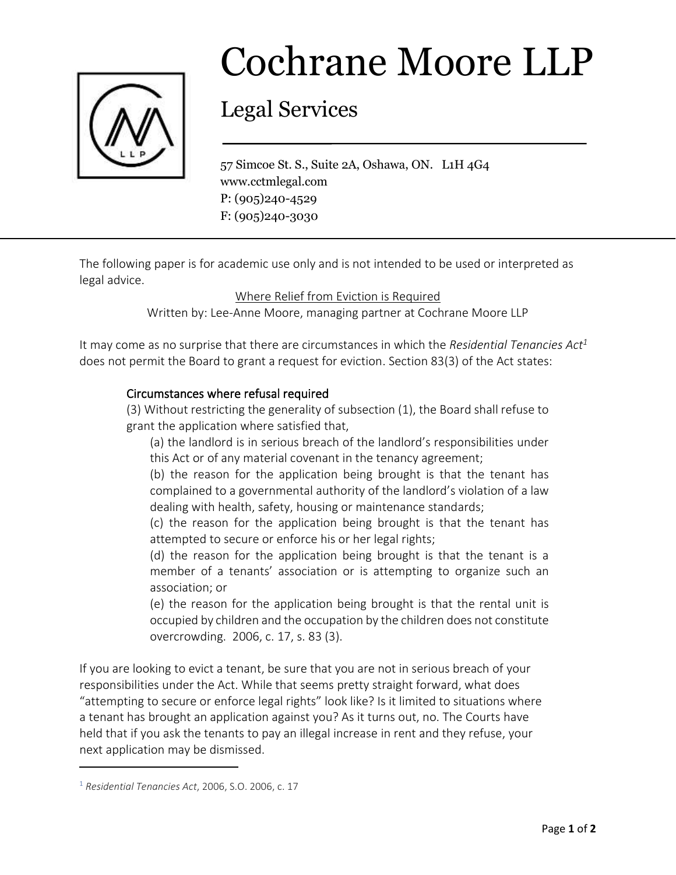

## Cochrane Moore LLP

## Legal Services

57 Simcoe St. S., Suite 2A, Oshawa, ON. L1H 4G4 www.cctmlegal.com P: (905)240-4529 F: (905)240-3030

The following paper is for academic use only and is not intended to be used or interpreted as legal advice.

Where Relief from Eviction is Required

Written by: Lee-Anne Moore, managing partner at Cochrane Moore LLP

It may come as no surprise that there are circumstances in which the *Residential Tenancies Act<sup>1</sup>* does not permit the Board to grant a request for eviction. Section 83(3) of the Act states:

## Circumstances where refusal required

(3) Without restricting the generality of subsection (1), the Board shall refuse to grant the application where satisfied that,

(a) the landlord is in serious breach of the landlord's responsibilities under this Act or of any material covenant in the tenancy agreement;

(b) the reason for the application being brought is that the tenant has complained to a governmental authority of the landlord's violation of a law dealing with health, safety, housing or maintenance standards;

(c) the reason for the application being brought is that the tenant has attempted to secure or enforce his or her legal rights;

(d) the reason for the application being brought is that the tenant is a member of a tenants' association or is attempting to organize such an association; or

(e) the reason for the application being brought is that the rental unit is occupied by children and the occupation by the children does not constitute overcrowding. 2006, c. 17, s. 83 (3).

If you are looking to evict a tenant, be sure that you are not in serious breach of your responsibilities under the Act. While that seems pretty straight forward, what does "attempting to secure or enforce legal rights" look like? Is it limited to situations where a tenant has brought an application against you? As it turns out, no. The Courts have held that if you ask the tenants to pay an illegal increase in rent and they refuse, your next application may be dismissed.

<sup>1</sup> *Residential Tenancies Act*, 2006, S.O. 2006, c. 17